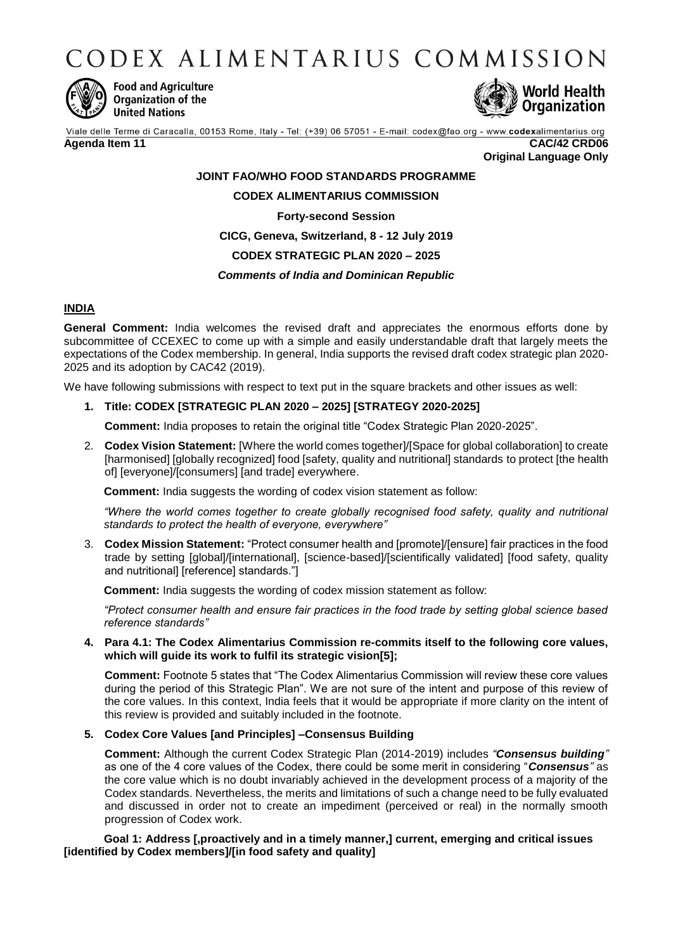CODEX ALIMENTARIUS COMMISSION



**Food and Agriculture** Organization of the **United Nations** 



Viale delle Terme di Caracalla, 00153 Rome, Italy - Tel: (+39) 06 57051 - E-mail: codex@fao.org - www.codexalimentarius.org **Agenda Item 11 CAC/42 CRD06**

**Original Language Only**

# **JOINT FAO/WHO FOOD STANDARDS PROGRAMME**

## **CODEX ALIMENTARIUS COMMISSION**

### **Forty-second Session**

# **CICG, Geneva, Switzerland, 8 - 12 July 2019**

# **CODEX STRATEGIC PLAN 2020 – 2025**

### *Comments of India and Dominican Republic*

### **INDIA**

**General Comment:** India welcomes the revised draft and appreciates the enormous efforts done by subcommittee of CCEXEC to come up with a simple and easily understandable draft that largely meets the expectations of the Codex membership. In general, India supports the revised draft codex strategic plan 2020- 2025 and its adoption by CAC42 (2019).

We have following submissions with respect to text put in the square brackets and other issues as well:

### **1. Title: CODEX [STRATEGIC PLAN 2020 – 2025] [STRATEGY 2020-2025]**

**Comment:** India proposes to retain the original title "Codex Strategic Plan 2020-2025".

2. **Codex Vision Statement:** [Where the world comes together]/[Space for global collaboration] to create [harmonised] [globally recognized] food [safety, quality and nutritional] standards to protect [the health of] [everyone]/[consumers] [and trade] everywhere.

**Comment:** India suggests the wording of codex vision statement as follow:

*"Where the world comes together to create globally recognised food safety, quality and nutritional standards to protect the health of everyone, everywhere"*

3. **Codex Mission Statement:** "Protect consumer health and [promote]/[ensure] fair practices in the food trade by setting [global]/[international], [science-based]/[scientifically validated] [food safety, quality and nutritional] [reference] standards."]

**Comment:** India suggests the wording of codex mission statement as follow:

*"Protect consumer health and ensure fair practices in the food trade by setting global science based reference standards"*

### **4. Para 4.1: The Codex Alimentarius Commission re-commits itself to the following core values, which will guide its work to fulfil its strategic vision[5];**

**Comment:** Footnote 5 states that "The Codex Alimentarius Commission will review these core values during the period of this Strategic Plan". We are not sure of the intent and purpose of this review of the core values. In this context, India feels that it would be appropriate if more clarity on the intent of this review is provided and suitably included in the footnote.

## **5. Codex Core Values [and Principles] –Consensus Building**

**Comment:** Although the current Codex Strategic Plan (2014-2019) includes *"Consensus building"*  as one of the 4 core values of the Codex, there could be some merit in considering "*Consensus"* as the core value which is no doubt invariably achieved in the development process of a majority of the Codex standards. Nevertheless, the merits and limitations of such a change need to be fully evaluated and discussed in order not to create an impediment (perceived or real) in the normally smooth progression of Codex work.

**Goal 1: Address [,proactively and in a timely manner,] current, emerging and critical issues [identified by Codex members]/[in food safety and quality]**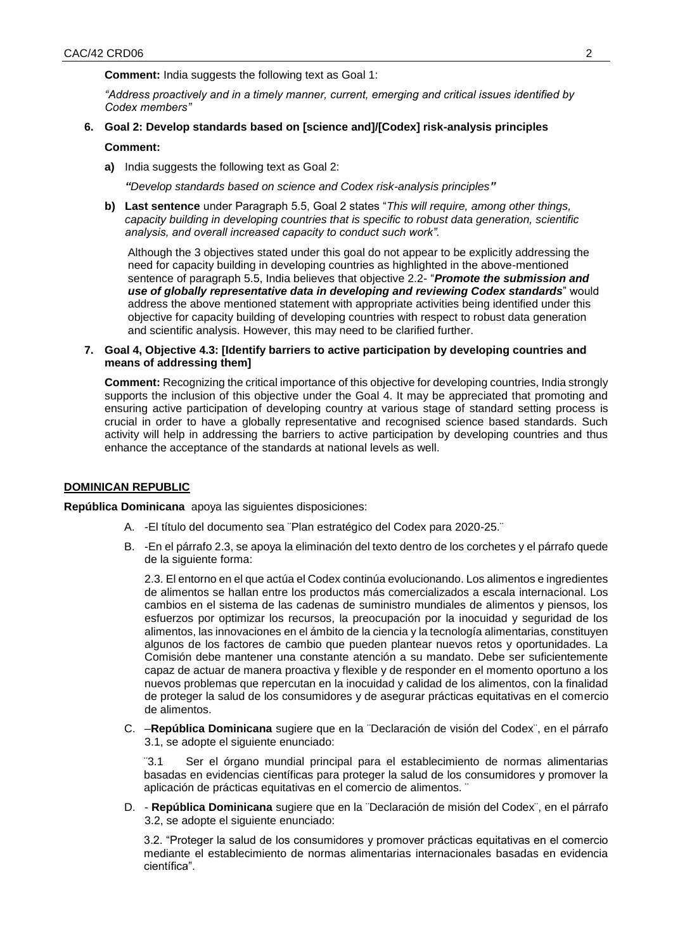**Comment:** India suggests the following text as Goal 1:

*"Address proactively and in a timely manner, current, emerging and critical issues identified by Codex members"*

# **6. Goal 2: Develop standards based on [science and]/[Codex] risk-analysis principles Comment:**

**a)** India suggests the following text as Goal 2:

*"Develop standards based on science and Codex risk-analysis principles"*

**b) Last sentence** under Paragraph 5.5, Goal 2 states "*This will require, among other things, capacity building in developing countries that is specific to robust data generation, scientific analysis, and overall increased capacity to conduct such work".*

Although the 3 objectives stated under this goal do not appear to be explicitly addressing the need for capacity building in developing countries as highlighted in the above-mentioned sentence of paragraph 5.5, India believes that objective 2.2- "*Promote the submission and use of globally representative data in developing and reviewing Codex standards*" would address the above mentioned statement with appropriate activities being identified under this objective for capacity building of developing countries with respect to robust data generation and scientific analysis. However, this may need to be clarified further.

#### **7. Goal 4, Objective 4.3: [Identify barriers to active participation by developing countries and means of addressing them]**

**Comment:** Recognizing the critical importance of this objective for developing countries, India strongly supports the inclusion of this objective under the Goal 4. It may be appreciated that promoting and ensuring active participation of developing country at various stage of standard setting process is crucial in order to have a globally representative and recognised science based standards. Such activity will help in addressing the barriers to active participation by developing countries and thus enhance the acceptance of the standards at national levels as well.

#### **DOMINICAN REPUBLIC**

**República Dominicana** apoya las siguientes disposiciones:

- A. -El título del documento sea ¨Plan estratégico del Codex para 2020-25.¨
- B. -En el párrafo 2.3, se apoya la eliminación del texto dentro de los corchetes y el párrafo quede de la siguiente forma:

2.3. El entorno en el que actúa el Codex continúa evolucionando. Los alimentos e ingredientes de alimentos se hallan entre los productos más comercializados a escala internacional. Los cambios en el sistema de las cadenas de suministro mundiales de alimentos y piensos, los esfuerzos por optimizar los recursos, la preocupación por la inocuidad y seguridad de los alimentos, las innovaciones en el ámbito de la ciencia y la tecnología alimentarias, constituyen algunos de los factores de cambio que pueden plantear nuevos retos y oportunidades. La Comisión debe mantener una constante atención a su mandato. Debe ser suficientemente capaz de actuar de manera proactiva y flexible y de responder en el momento oportuno a los nuevos problemas que repercutan en la inocuidad y calidad de los alimentos, con la finalidad de proteger la salud de los consumidores y de asegurar prácticas equitativas en el comercio de alimentos.

C. –**República Dominicana** sugiere que en la ¨Declaración de visión del Codex¨, en el párrafo 3.1, se adopte el siguiente enunciado:

¨3.1 Ser el órgano mundial principal para el establecimiento de normas alimentarias basadas en evidencias científicas para proteger la salud de los consumidores y promover la aplicación de prácticas equitativas en el comercio de alimentos. ¨

D. - **República Dominicana** sugiere que en la ¨Declaración de misión del Codex¨, en el párrafo 3.2, se adopte el siguiente enunciado:

3.2. "Proteger la salud de los consumidores y promover prácticas equitativas en el comercio mediante el establecimiento de normas alimentarias internacionales basadas en evidencia científica".